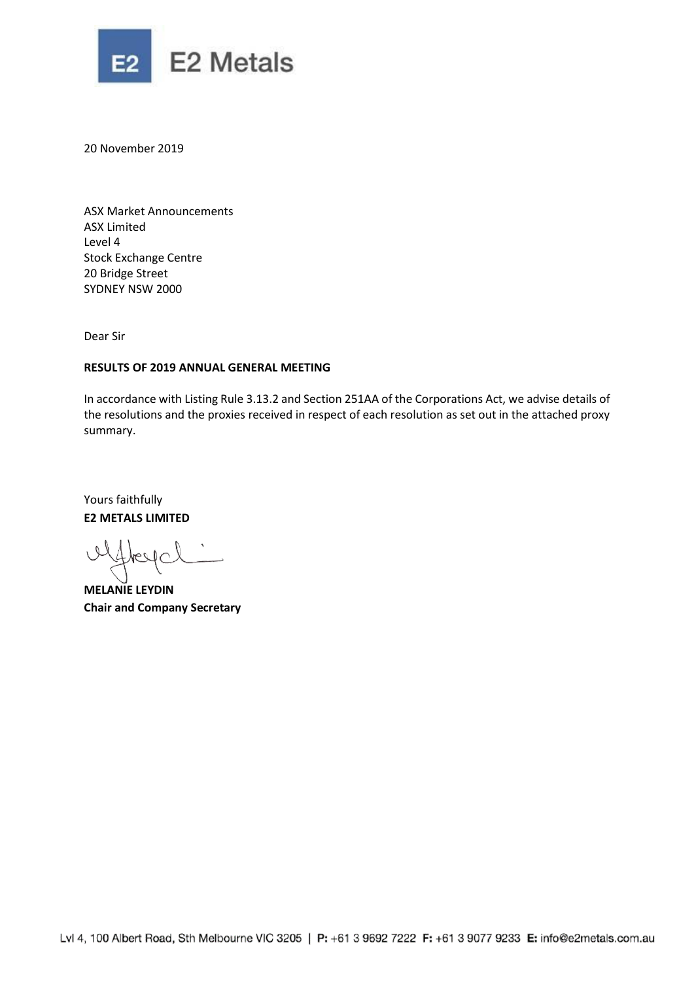

20 November 2019

ASX Market Announcements ASX Limited Level 4 Stock Exchange Centre 20 Bridge Street SYDNEY NSW 2000

Dear Sir

## **RESULTS OF 2019 ANNUAL GENERAL MEETING**

In accordance with Listing Rule 3.13.2 and Section 251AA of the Corporations Act, we advise details of the resolutions and the proxies received in respect of each resolution as set out in the attached proxy summary.

Yours faithfully **E2 METALS LIMITED**

**MELANIE LEYDIN Chair and Company Secretary**